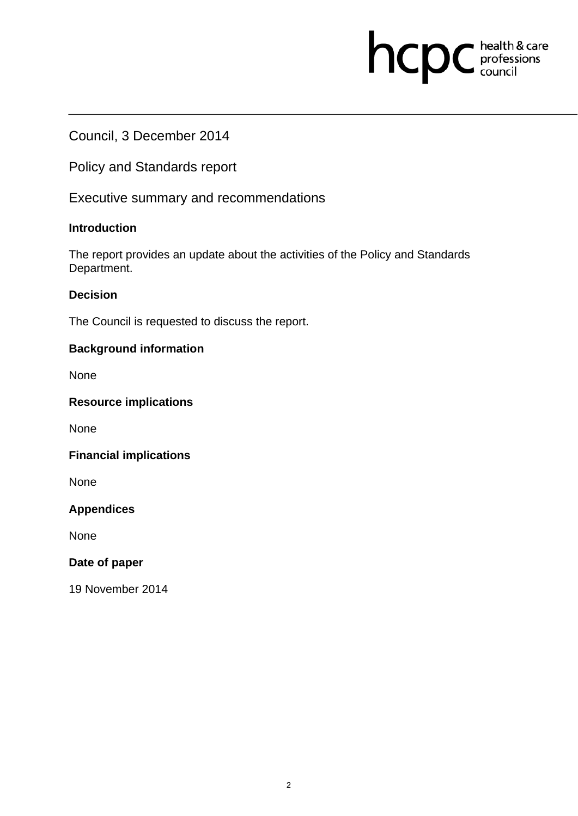# hcpc health & care

## Council, 3 December 2014

Policy and Standards report

Executive summary and recommendations

## **Introduction**

The report provides an update about the activities of the Policy and Standards Department.

## **Decision**

The Council is requested to discuss the report.

## **Background information**

None

## **Resource implications**

None

## **Financial implications**

None

## **Appendices**

None

### **Date of paper**

19 November 2014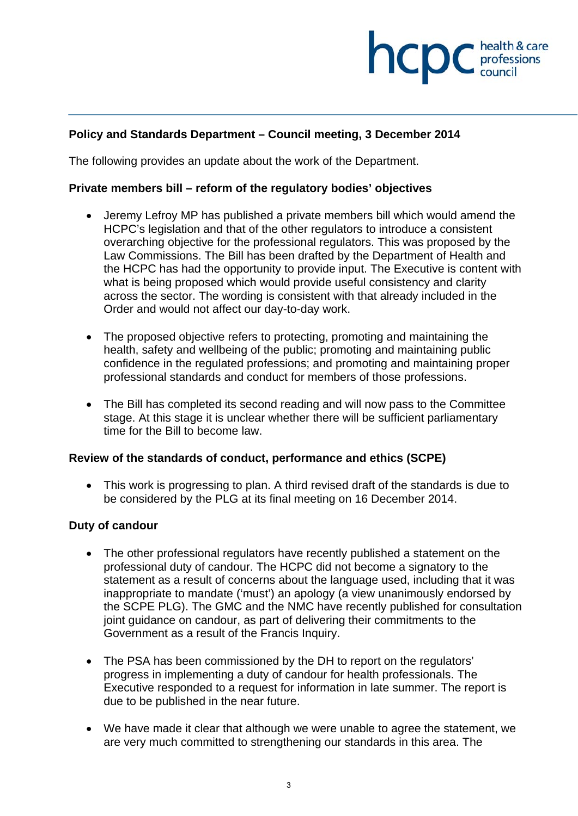## **health & care**

## **Policy and Standards Department – Council meeting, 3 December 2014**

The following provides an update about the work of the Department.

#### **Private members bill – reform of the regulatory bodies' objectives**

- Jeremy Lefroy MP has published a private members bill which would amend the HCPC's legislation and that of the other regulators to introduce a consistent overarching objective for the professional regulators. This was proposed by the Law Commissions. The Bill has been drafted by the Department of Health and the HCPC has had the opportunity to provide input. The Executive is content with what is being proposed which would provide useful consistency and clarity across the sector. The wording is consistent with that already included in the Order and would not affect our day-to-day work.
- The proposed objective refers to protecting, promoting and maintaining the health, safety and wellbeing of the public; promoting and maintaining public confidence in the regulated professions; and promoting and maintaining proper professional standards and conduct for members of those professions.
- The Bill has completed its second reading and will now pass to the Committee stage. At this stage it is unclear whether there will be sufficient parliamentary time for the Bill to become law.

#### **Review of the standards of conduct, performance and ethics (SCPE)**

 This work is progressing to plan. A third revised draft of the standards is due to be considered by the PLG at its final meeting on 16 December 2014.

### **Duty of candour**

- The other professional regulators have recently published a statement on the professional duty of candour. The HCPC did not become a signatory to the statement as a result of concerns about the language used, including that it was inappropriate to mandate ('must') an apology (a view unanimously endorsed by the SCPE PLG). The GMC and the NMC have recently published for consultation joint guidance on candour, as part of delivering their commitments to the Government as a result of the Francis Inquiry.
- The PSA has been commissioned by the DH to report on the regulators' progress in implementing a duty of candour for health professionals. The Executive responded to a request for information in late summer. The report is due to be published in the near future.
- We have made it clear that although we were unable to agree the statement, we are very much committed to strengthening our standards in this area. The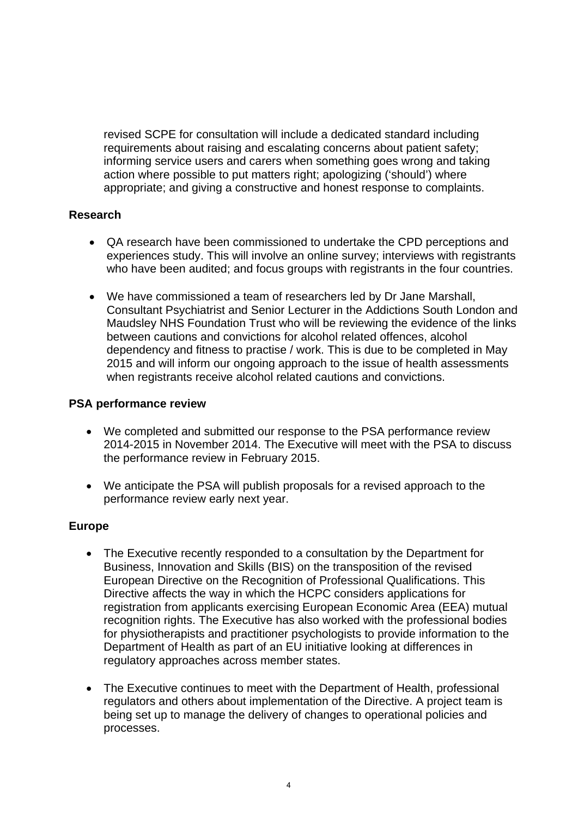revised SCPE for consultation will include a dedicated standard including requirements about raising and escalating concerns about patient safety; informing service users and carers when something goes wrong and taking action where possible to put matters right; apologizing ('should') where appropriate; and giving a constructive and honest response to complaints.

## **Research**

- QA research have been commissioned to undertake the CPD perceptions and experiences study. This will involve an online survey; interviews with registrants who have been audited; and focus groups with registrants in the four countries.
- We have commissioned a team of researchers led by Dr Jane Marshall, Consultant Psychiatrist and Senior Lecturer in the Addictions South London and Maudsley NHS Foundation Trust who will be reviewing the evidence of the links between cautions and convictions for alcohol related offences, alcohol dependency and fitness to practise / work. This is due to be completed in May 2015 and will inform our ongoing approach to the issue of health assessments when registrants receive alcohol related cautions and convictions.

### **PSA performance review**

- We completed and submitted our response to the PSA performance review 2014-2015 in November 2014. The Executive will meet with the PSA to discuss the performance review in February 2015.
- We anticipate the PSA will publish proposals for a revised approach to the performance review early next year.

### **Europe**

- The Executive recently responded to a consultation by the Department for Business, Innovation and Skills (BIS) on the transposition of the revised European Directive on the Recognition of Professional Qualifications. This Directive affects the way in which the HCPC considers applications for registration from applicants exercising European Economic Area (EEA) mutual recognition rights. The Executive has also worked with the professional bodies for physiotherapists and practitioner psychologists to provide information to the Department of Health as part of an EU initiative looking at differences in regulatory approaches across member states.
- The Executive continues to meet with the Department of Health, professional regulators and others about implementation of the Directive. A project team is being set up to manage the delivery of changes to operational policies and processes.